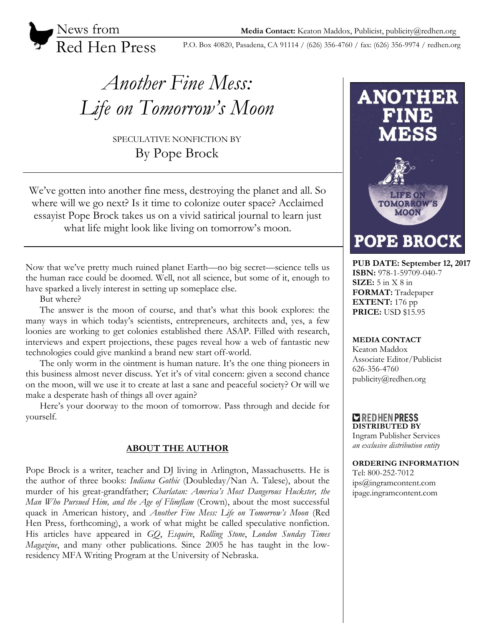News from Red Hen Press

P.O. Box 40820, Pasadena, CA 91114 / (626) 356-4760 / fax: (626) 356-9974 / redhen.org

# *Another Fine Mess: Life on Tomorrow's Moon*

SPECULATIVE NONFICTION BY By Pope Brock

We've gotten into another fine mess, destroying the planet and all. So where will we go next? Is it time to colonize outer space? Acclaimed essayist Pope Brock takes us on a vivid satirical journal to learn just what life might look like living on tomorrow's moon.

Now that we've pretty much ruined planet Earth—no big secret—science tells us the human race could be doomed. Well, not all science, but some of it, enough to have sparked a lively interest in setting up someplace else.

But where?

The answer is the moon of course, and that's what this book explores: the many ways in which today's scientists, entrepreneurs, architects and, yes, a few loonies are working to get colonies established there ASAP. Filled with research, interviews and expert projections, these pages reveal how a web of fantastic new technologies could give mankind a brand new start off-world.

The only worm in the ointment is human nature. It's the one thing pioneers in this business almost never discuss. Yet it's of vital concern: given a second chance on the moon, will we use it to create at last a sane and peaceful society? Or will we make a desperate hash of things all over again?

Here's your doorway to the moon of tomorrow. Pass through and decide for yourself.

# **ABOUT THE AUTHOR**

Pope Brock is a writer, teacher and DJ living in Arlington, Massachusetts. He is the author of three books: *Indiana Gothic* (Doubleday/Nan A. Talese), about the murder of his great-grandfather; *Charlatan: America's Most Dangerous Huckster, the Man Who Pursued Him, and the Age of Flimflam* (Crown), about the most successful quack in American history, and *Another Fine Mess: Life on Tomorrow's Moon* (Red Hen Press, forthcoming), a work of what might be called speculative nonfiction. His articles have appeared in *GQ*, *Esquire*, *Rolling Stone*, *London Sunday Times Magazine*, and many other publications. Since 2005 he has taught in the lowresidency MFA Writing Program at the University of Nebraska.



**PUB DATE: September 12, 2017 ISBN:** 978-1-59709-040-7 **SIZE:** 5 in X 8 in **FORMAT:** Tradepaper **EXTENT:** 176 pp **PRICE:** USD \$15.95

## **MEDIA CONTACT**

Keaton Maddox Associate Editor/Publicist 626-356-4760 publicity@redhen.org

### **EXPREDIEN PRESS DISTRIBUTED BY**

Ingram Publisher Services *an exclusive distribution entity*

#### **ORDERING INFORMATION**

Tel: 800-252-7012 ips@ingramcontent.com ipage.ingramcontent.com